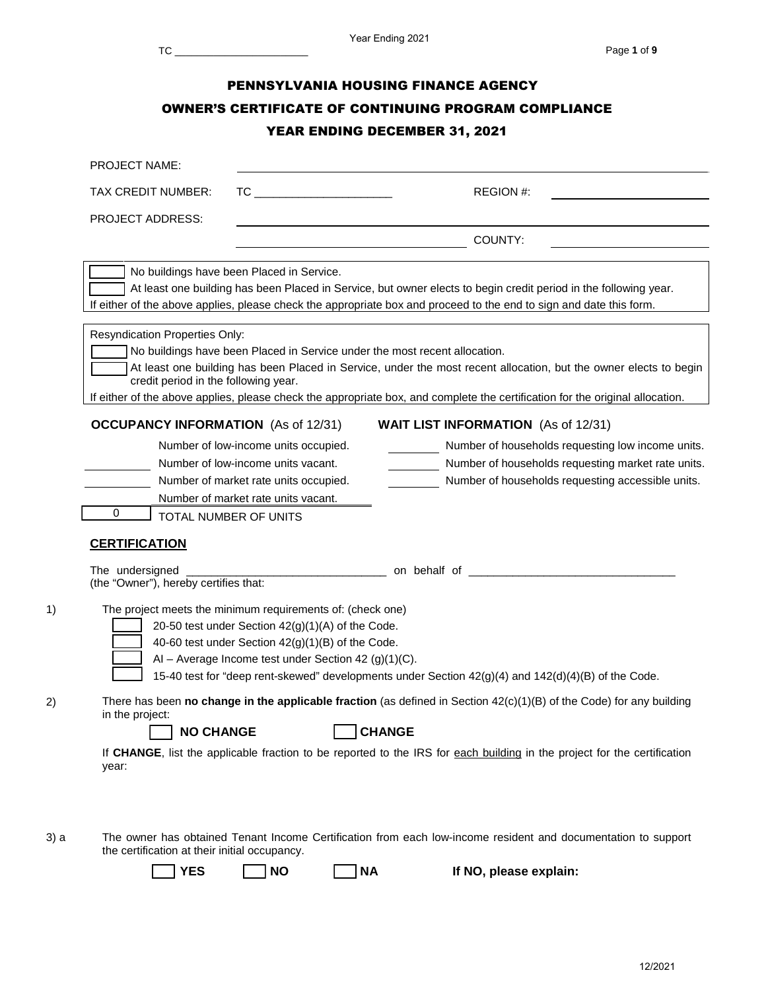| <b>PROJECT NAME:</b>                                                             |                                                                                                                                                                                                                              |                                                                                                                                                                                                                                                                                                                                  |
|----------------------------------------------------------------------------------|------------------------------------------------------------------------------------------------------------------------------------------------------------------------------------------------------------------------------|----------------------------------------------------------------------------------------------------------------------------------------------------------------------------------------------------------------------------------------------------------------------------------------------------------------------------------|
| TAX CREDIT NUMBER:                                                               |                                                                                                                                                                                                                              | REGION #:                                                                                                                                                                                                                                                                                                                        |
| <b>PROJECT ADDRESS:</b>                                                          |                                                                                                                                                                                                                              |                                                                                                                                                                                                                                                                                                                                  |
|                                                                                  | <u> 1989 - Johann Barnett, fransk politiker (d. 1989)</u>                                                                                                                                                                    | COUNTY:                                                                                                                                                                                                                                                                                                                          |
|                                                                                  | No buildings have been Placed in Service.                                                                                                                                                                                    | At least one building has been Placed in Service, but owner elects to begin credit period in the following year.<br>If either of the above applies, please check the appropriate box and proceed to the end to sign and date this form.                                                                                          |
| Resyndication Properties Only:<br>credit period in the following year.           |                                                                                                                                                                                                                              | No buildings have been Placed in Service under the most recent allocation.<br>At least one building has been Placed in Service, under the most recent allocation, but the owner elects to begin<br>If either of the above applies, please check the appropriate box, and complete the certification for the original allocation. |
| <b>OCCUPANCY INFORMATION</b> (As of 12/31)                                       |                                                                                                                                                                                                                              | <b>WAIT LIST INFORMATION</b> (As of 12/31)                                                                                                                                                                                                                                                                                       |
| 0<br>TOTAL NUMBER OF UNITS                                                       | Number of low-income units occupied.<br>Number of low-income units vacant.<br>Number of market rate units occupied.<br>Number of market rate units vacant.                                                                   | Number of households requesting low income units.<br>Number of households requesting market rate units.<br>Number of households requesting accessible units.                                                                                                                                                                     |
| <b>CERTIFICATION</b><br>The undersigned<br>(the "Owner"), hereby certifies that: |                                                                                                                                                                                                                              |                                                                                                                                                                                                                                                                                                                                  |
|                                                                                  | The project meets the minimum requirements of: (check one)<br>20-50 test under Section 42(g)(1)(A) of the Code.<br>40-60 test under Section 42(g)(1)(B) of the Code.<br>Al - Average Income test under Section 42 (g)(1)(C). | 15-40 test for "deep rent-skewed" developments under Section 42(g)(4) and 142(d)(4)(B) of the Code.                                                                                                                                                                                                                              |
| in the project:<br><b>NO CHANGE</b>                                              |                                                                                                                                                                                                                              | There has been no change in the applicable fraction (as defined in Section $42(c)(1)(B)$ of the Code) for any building<br><b>CHANGE</b>                                                                                                                                                                                          |
| year:                                                                            |                                                                                                                                                                                                                              | If CHANGE, list the applicable fraction to be reported to the IRS for each building in the project for the certification                                                                                                                                                                                                         |

12/2021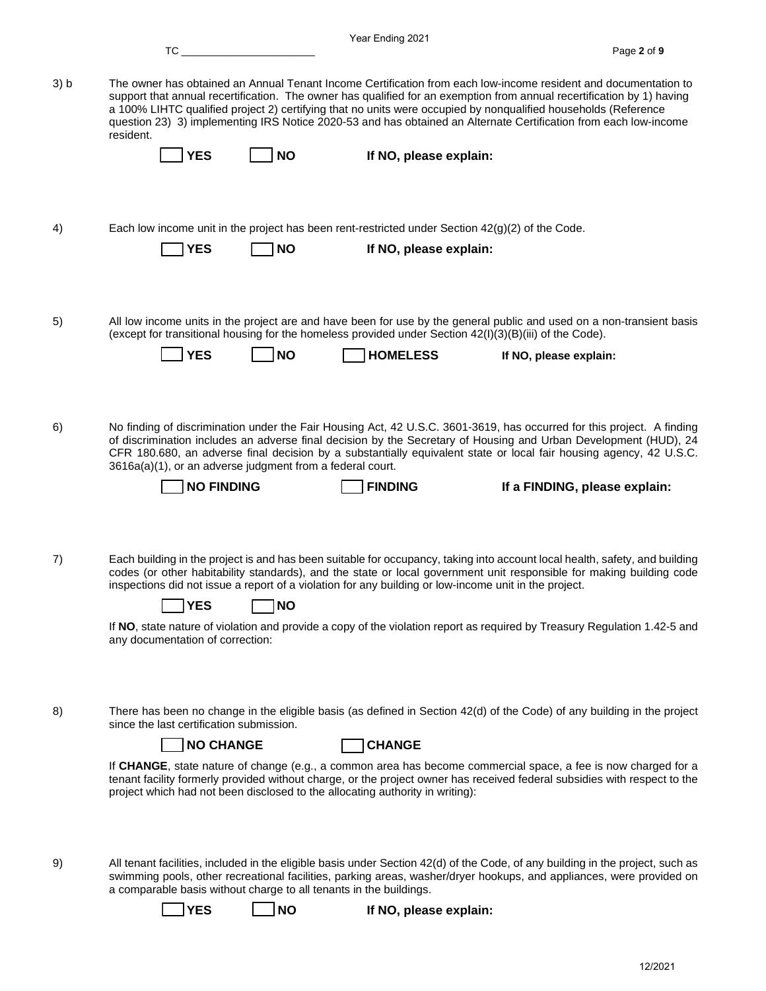|      | TC FOR THE T                                                                   |           | Year Ending 2021                                                                                                                                                                                                                                                                                                                                                                                                                                                                |                               | Page 2 of 9 |
|------|--------------------------------------------------------------------------------|-----------|---------------------------------------------------------------------------------------------------------------------------------------------------------------------------------------------------------------------------------------------------------------------------------------------------------------------------------------------------------------------------------------------------------------------------------------------------------------------------------|-------------------------------|-------------|
| 3) b | resident.                                                                      |           | The owner has obtained an Annual Tenant Income Certification from each low-income resident and documentation to<br>support that annual recertification. The owner has qualified for an exemption from annual recertification by 1) having<br>a 100% LIHTC qualified project 2) certifying that no units were occupied by nonqualified households (Reference<br>question 23) 3) implementing IRS Notice 2020-53 and has obtained an Alternate Certification from each low-income |                               |             |
|      | <b>YES</b>                                                                     | <b>NO</b> | If NO, please explain:                                                                                                                                                                                                                                                                                                                                                                                                                                                          |                               |             |
| 4)   | <b>YES</b>                                                                     | <b>NO</b> | Each low income unit in the project has been rent-restricted under Section $42(g)(2)$ of the Code.<br>If NO, please explain:                                                                                                                                                                                                                                                                                                                                                    |                               |             |
| 5)   | <b>YES</b>                                                                     | <b>NO</b> | All low income units in the project are and have been for use by the general public and used on a non-transient basis<br>(except for transitional housing for the homeless provided under Section 42(I)(3)(B)(iii) of the Code).<br><b>HOMELESS</b>                                                                                                                                                                                                                             | If NO, please explain:        |             |
|      |                                                                                |           |                                                                                                                                                                                                                                                                                                                                                                                                                                                                                 |                               |             |
| 6)   | 3616a(a)(1), or an adverse judgment from a federal court.<br><b>NO FINDING</b> |           | No finding of discrimination under the Fair Housing Act, 42 U.S.C. 3601-3619, has occurred for this project. A finding<br>of discrimination includes an adverse final decision by the Secretary of Housing and Urban Development (HUD), 24<br>CFR 180.680, an adverse final decision by a substantially equivalent state or local fair housing agency, 42 U.S.C.<br><b>FINDING</b>                                                                                              | If a FINDING, please explain: |             |
|      |                                                                                |           |                                                                                                                                                                                                                                                                                                                                                                                                                                                                                 |                               |             |
| 7)   | <b>YES</b>                                                                     | <b>NO</b> | Each building in the project is and has been suitable for occupancy, taking into account local health, safety, and building<br>codes (or other habitability standards), and the state or local government unit responsible for making building code<br>inspections did not issue a report of a violation for any building or low-income unit in the project.                                                                                                                    |                               |             |
|      | any documentation of correction:                                               |           | If NO, state nature of violation and provide a copy of the violation report as required by Treasury Regulation 1.42-5 and                                                                                                                                                                                                                                                                                                                                                       |                               |             |
| 8)   | since the last certification submission.<br><b>NO CHANGE</b>                   |           | There has been no change in the eligible basis (as defined in Section 42(d) of the Code) of any building in the project<br><b>CHANGE</b>                                                                                                                                                                                                                                                                                                                                        |                               |             |
|      | project which had not been disclosed to the allocating authority in writing):  |           | If CHANGE, state nature of change (e.g., a common area has become commercial space, a fee is now charged for a<br>tenant facility formerly provided without charge, or the project owner has received federal subsidies with respect to the                                                                                                                                                                                                                                     |                               |             |
| 9)   | a comparable basis without charge to all tenants in the buildings.             |           | All tenant facilities, included in the eligible basis under Section 42(d) of the Code, of any building in the project, such as<br>swimming pools, other recreational facilities, parking areas, washer/dryer hookups, and appliances, were provided on                                                                                                                                                                                                                          |                               |             |
|      | <b>YES</b>                                                                     | <b>NO</b> | If NO, please explain:                                                                                                                                                                                                                                                                                                                                                                                                                                                          |                               |             |

12/2021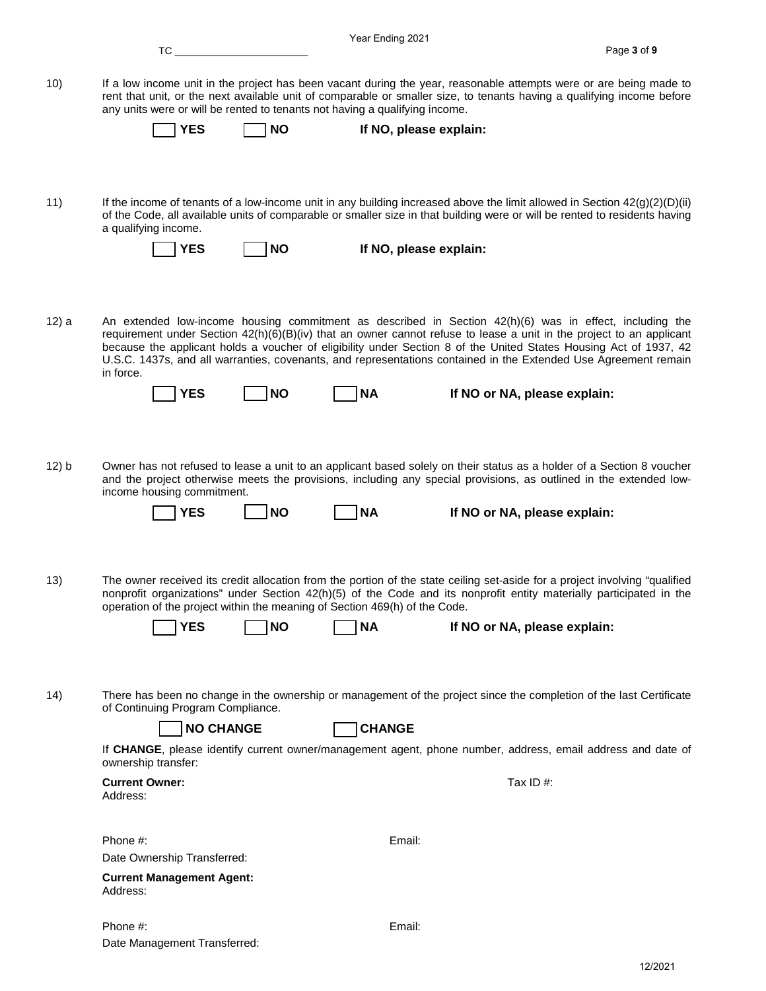|       |                                                                             |           | Year Ending 2021 |                                                                                                                                                                                                                                                            |             |
|-------|-----------------------------------------------------------------------------|-----------|------------------|------------------------------------------------------------------------------------------------------------------------------------------------------------------------------------------------------------------------------------------------------------|-------------|
|       | $TC_{-}$                                                                    |           |                  |                                                                                                                                                                                                                                                            | Page 3 of 9 |
| 10)   | any units were or will be rented to tenants not having a qualifying income. |           |                  | If a low income unit in the project has been vacant during the year, reasonable attempts were or are being made to<br>rent that unit, or the next available unit of comparable or smaller size, to tenants having a qualifying income before               |             |
|       | <b>YES</b>                                                                  | <b>NO</b> |                  | If NO, please explain:                                                                                                                                                                                                                                     |             |
|       |                                                                             |           |                  |                                                                                                                                                                                                                                                            |             |
| 11)   | a qualifying income.                                                        |           |                  | If the income of tenants of a low-income unit in any building increased above the limit allowed in Section $42(g)(2)(D)(ii)$<br>of the Code, all available units of comparable or smaller size in that building were or will be rented to residents having |             |
|       | <b>YES</b>                                                                  | <b>NO</b> |                  | If NO, please explain:                                                                                                                                                                                                                                     |             |
| 12) a |                                                                             |           |                  | An extended low-income housing commitment as described in Section 42(h)(6) was in effect, including the<br>requirement under Section $42(h)(6)(B)(iv)$ that an owner cannot refuse to lease a unit in the project to an applicant                          |             |
|       | in force.                                                                   |           |                  | because the applicant holds a voucher of eligibility under Section 8 of the United States Housing Act of 1937, 42<br>U.S.C. 1437s, and all warranties, covenants, and representations contained in the Extended Use Agreement remain                       |             |
|       | <b>YES</b>                                                                  | <b>NO</b> | <b>NA</b>        | If NO or NA, please explain:                                                                                                                                                                                                                               |             |
| 12) b |                                                                             |           |                  | Owner has not refused to lease a unit to an applicant based solely on their status as a holder of a Section 8 voucher                                                                                                                                      |             |
|       | income housing commitment.<br><b>YES</b>                                    | <b>NO</b> | <b>NA</b>        | and the project otherwise meets the provisions, including any special provisions, as outlined in the extended low-<br>If NO or NA, please explain:                                                                                                         |             |
| 13)   | operation of the project within the meaning of Section 469(h) of the Code.  |           |                  | The owner received its credit allocation from the portion of the state ceiling set-aside for a project involving "qualified<br>nonprofit organizations" under Section 42(h)(5) of the Code and its nonprofit entity materially participated in the         |             |
|       |                                                                             |           |                  |                                                                                                                                                                                                                                                            |             |
|       | <b>YES</b>                                                                  | <b>NO</b> | <b>NA</b>        | If NO or NA, please explain:                                                                                                                                                                                                                               |             |
| (14)  |                                                                             |           |                  | There has been no change in the ownership or management of the project since the completion of the last Certificate                                                                                                                                        |             |
|       | of Continuing Program Compliance.                                           |           |                  |                                                                                                                                                                                                                                                            |             |
|       | <b>NO CHANGE</b>                                                            |           | <b>CHANGE</b>    |                                                                                                                                                                                                                                                            |             |
|       | ownership transfer:                                                         |           |                  | If CHANGE, please identify current owner/management agent, phone number, address, email address and date of                                                                                                                                                |             |
|       | <b>Current Owner:</b>                                                       |           |                  | Tax ID#:                                                                                                                                                                                                                                                   |             |
|       | Address:                                                                    |           |                  |                                                                                                                                                                                                                                                            |             |
|       | Phone #:                                                                    |           | Email:           |                                                                                                                                                                                                                                                            |             |
|       | Date Ownership Transferred:                                                 |           |                  |                                                                                                                                                                                                                                                            |             |
|       | <b>Current Management Agent:</b>                                            |           |                  |                                                                                                                                                                                                                                                            |             |
|       | Address:                                                                    |           |                  |                                                                                                                                                                                                                                                            |             |
|       | Phone #:                                                                    |           | Email:           |                                                                                                                                                                                                                                                            |             |
|       | Date Management Transferred:                                                |           |                  |                                                                                                                                                                                                                                                            |             |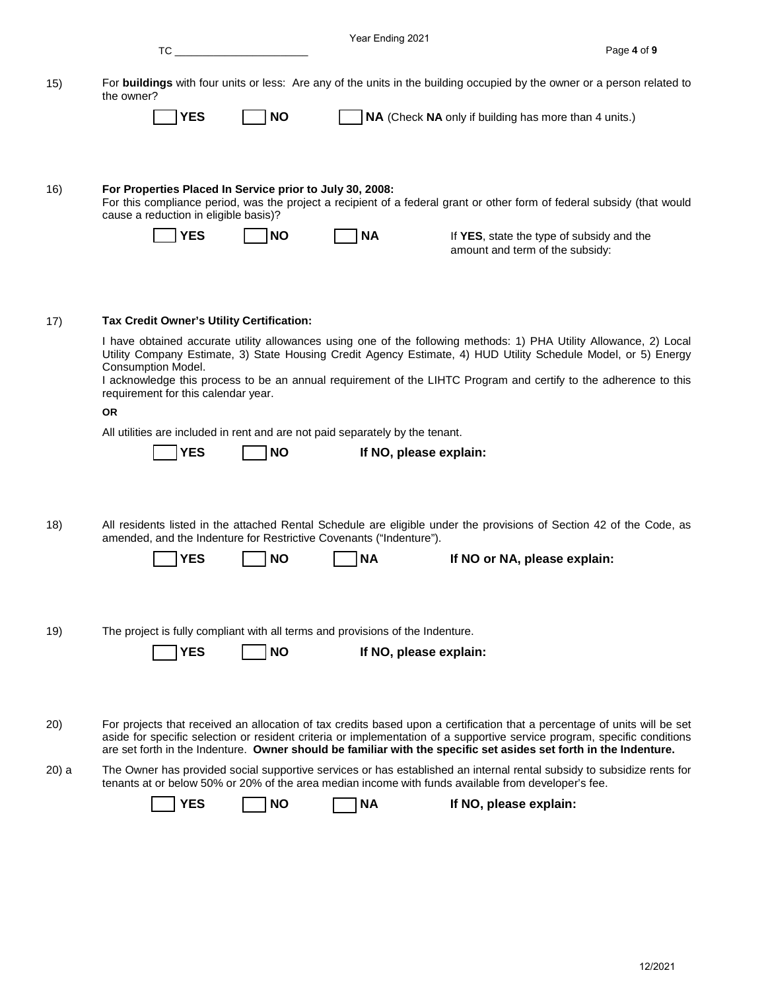|       | TC                                                                                                                                                                                                                                            | Year Ending 2021                                      | Page 4 of 9                               |
|-------|-----------------------------------------------------------------------------------------------------------------------------------------------------------------------------------------------------------------------------------------------|-------------------------------------------------------|-------------------------------------------|
|       |                                                                                                                                                                                                                                               |                                                       |                                           |
| 15)   | For buildings with four units or less: Are any of the units in the building occupied by the owner or a person related to<br>the owner?                                                                                                        |                                                       |                                           |
|       | <b>YES</b><br><b>NO</b>                                                                                                                                                                                                                       | NA (Check NA only if building has more than 4 units.) |                                           |
|       |                                                                                                                                                                                                                                               |                                                       |                                           |
|       | For Properties Placed In Service prior to July 30, 2008:                                                                                                                                                                                      |                                                       |                                           |
| 16)   | For this compliance period, was the project a recipient of a federal grant or other form of federal subsidy (that would<br>cause a reduction in eligible basis)?                                                                              |                                                       |                                           |
|       | <b>NO</b><br><b>YES</b>                                                                                                                                                                                                                       | <b>NA</b>                                             | If YES, state the type of subsidy and the |
|       |                                                                                                                                                                                                                                               |                                                       | amount and term of the subsidy:           |
|       |                                                                                                                                                                                                                                               |                                                       |                                           |
| 17)   | Tax Credit Owner's Utility Certification:                                                                                                                                                                                                     |                                                       |                                           |
|       | I have obtained accurate utility allowances using one of the following methods: 1) PHA Utility Allowance, 2) Local                                                                                                                            |                                                       |                                           |
|       | Utility Company Estimate, 3) State Housing Credit Agency Estimate, 4) HUD Utility Schedule Model, or 5) Energy<br>Consumption Model.                                                                                                          |                                                       |                                           |
|       | I acknowledge this process to be an annual requirement of the LIHTC Program and certify to the adherence to this<br>requirement for this calendar year.                                                                                       |                                                       |                                           |
|       | <b>OR</b>                                                                                                                                                                                                                                     |                                                       |                                           |
|       | All utilities are included in rent and are not paid separately by the tenant.                                                                                                                                                                 |                                                       |                                           |
|       | <b>YES</b><br><b>NO</b>                                                                                                                                                                                                                       | If NO, please explain:                                |                                           |
|       |                                                                                                                                                                                                                                               |                                                       |                                           |
| 18)   | All residents listed in the attached Rental Schedule are eligible under the provisions of Section 42 of the Code, as                                                                                                                          |                                                       |                                           |
|       | amended, and the Indenture for Restrictive Covenants ("Indenture").                                                                                                                                                                           |                                                       |                                           |
|       | YES<br><b>NO</b>                                                                                                                                                                                                                              | ΝA                                                    | If NO or NA, please explain:              |
|       |                                                                                                                                                                                                                                               |                                                       |                                           |
| 19)   | The project is fully compliant with all terms and provisions of the Indenture.                                                                                                                                                                |                                                       |                                           |
|       | <b>YES</b><br><b>NO</b>                                                                                                                                                                                                                       | If NO, please explain:                                |                                           |
|       |                                                                                                                                                                                                                                               |                                                       |                                           |
|       |                                                                                                                                                                                                                                               |                                                       |                                           |
| 20)   | For projects that received an allocation of tax credits based upon a certification that a percentage of units will be set                                                                                                                     |                                                       |                                           |
|       | aside for specific selection or resident criteria or implementation of a supportive service program, specific conditions<br>are set forth in the Indenture. Owner should be familiar with the specific set asides set forth in the Indenture. |                                                       |                                           |
| 20) a | The Owner has provided social supportive services or has established an internal rental subsidy to subsidize rents for<br>tenants at or below 50% or 20% of the area median income with funds available from developer's fee.                 |                                                       |                                           |
|       | <b>YES</b><br><b>NO</b>                                                                                                                                                                                                                       | <b>NA</b><br>If NO, please explain:                   |                                           |
|       |                                                                                                                                                                                                                                               |                                                       |                                           |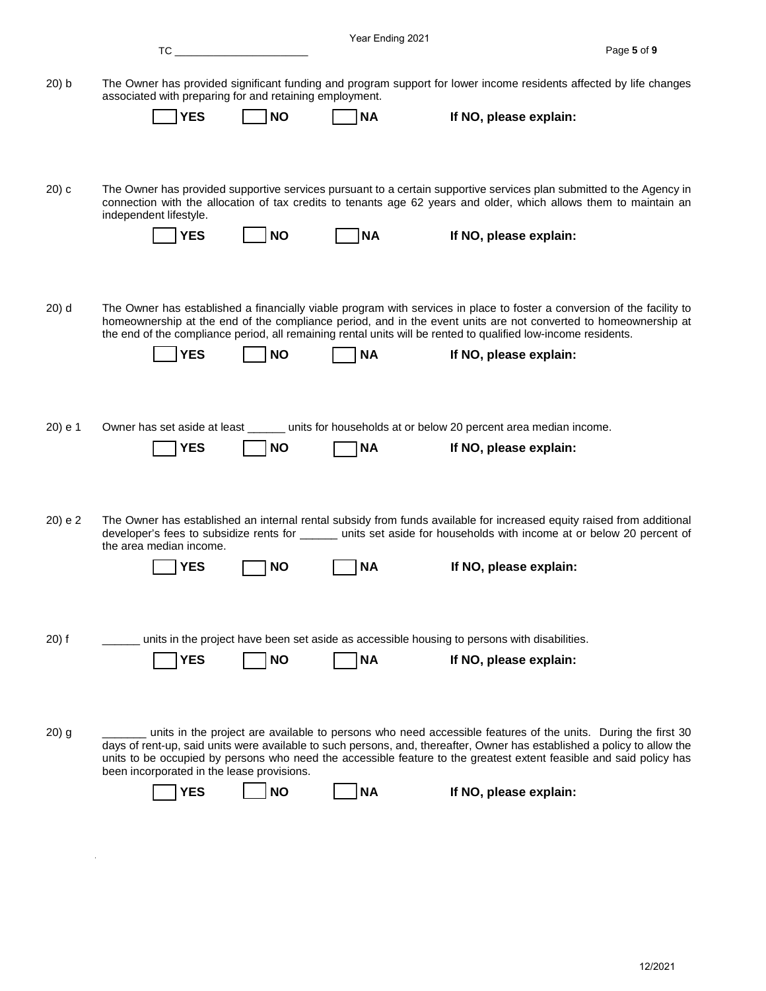|          | TC in the set of the set of the set of the set of the set of the set of the set of the set of the set of the s |           | Year Ending 2021 |                                                                                                                                                                                                                                                                                                                                                                 | Page 5 of 9 |
|----------|----------------------------------------------------------------------------------------------------------------|-----------|------------------|-----------------------------------------------------------------------------------------------------------------------------------------------------------------------------------------------------------------------------------------------------------------------------------------------------------------------------------------------------------------|-------------|
| $20$ ) b | associated with preparing for and retaining employment.                                                        |           |                  | The Owner has provided significant funding and program support for lower income residents affected by life changes                                                                                                                                                                                                                                              |             |
|          | <b>YES</b>                                                                                                     | <b>NO</b> | <b>NA</b>        | If NO, please explain:                                                                                                                                                                                                                                                                                                                                          |             |
| $(20)$ c | independent lifestyle.                                                                                         |           |                  | The Owner has provided supportive services pursuant to a certain supportive services plan submitted to the Agency in<br>connection with the allocation of tax credits to tenants age 62 years and older, which allows them to maintain an                                                                                                                       |             |
|          | <b>YES</b>                                                                                                     | <b>NO</b> | <b>NA</b>        | If NO, please explain:                                                                                                                                                                                                                                                                                                                                          |             |
| $20)$ d  |                                                                                                                |           |                  | The Owner has established a financially viable program with services in place to foster a conversion of the facility to<br>homeownership at the end of the compliance period, and in the event units are not converted to homeownership at<br>the end of the compliance period, all remaining rental units will be rented to qualified low-income residents.    |             |
|          | <b>YES</b>                                                                                                     | <b>NO</b> | <b>NA</b>        | If NO, please explain:                                                                                                                                                                                                                                                                                                                                          |             |
| 20) e 1  | Owner has set aside at least<br><b>YES</b>                                                                     | <b>NO</b> | <b>NA</b>        | _____ units for households at or below 20 percent area median income.<br>If NO, please explain:                                                                                                                                                                                                                                                                 |             |
|          |                                                                                                                |           |                  |                                                                                                                                                                                                                                                                                                                                                                 |             |
| 20) e 2  | the area median income.                                                                                        |           |                  | The Owner has established an internal rental subsidy from funds available for increased equity raised from additional<br>developer's fees to subsidize rents for ______ units set aside for households with income at or below 20 percent of                                                                                                                    |             |
|          | YES                                                                                                            | NO        | NА               | If NO, please explain:                                                                                                                                                                                                                                                                                                                                          |             |
| $20)$ f  | <b>YES</b>                                                                                                     | <b>NO</b> | <b>NA</b>        | units in the project have been set aside as accessible housing to persons with disabilities.<br>If NO, please explain:                                                                                                                                                                                                                                          |             |
|          |                                                                                                                |           |                  |                                                                                                                                                                                                                                                                                                                                                                 |             |
| $20)$ g  | been incorporated in the lease provisions.                                                                     |           |                  | units in the project are available to persons who need accessible features of the units. During the first 30<br>days of rent-up, said units were available to such persons, and, thereafter, Owner has established a policy to allow the<br>units to be occupied by persons who need the accessible feature to the greatest extent feasible and said policy has |             |
|          | <b>YES</b>                                                                                                     | <b>NO</b> | <b>NA</b>        | If NO, please explain:                                                                                                                                                                                                                                                                                                                                          |             |

 $\mathcal{L}^{\text{max}}_{\text{max}}$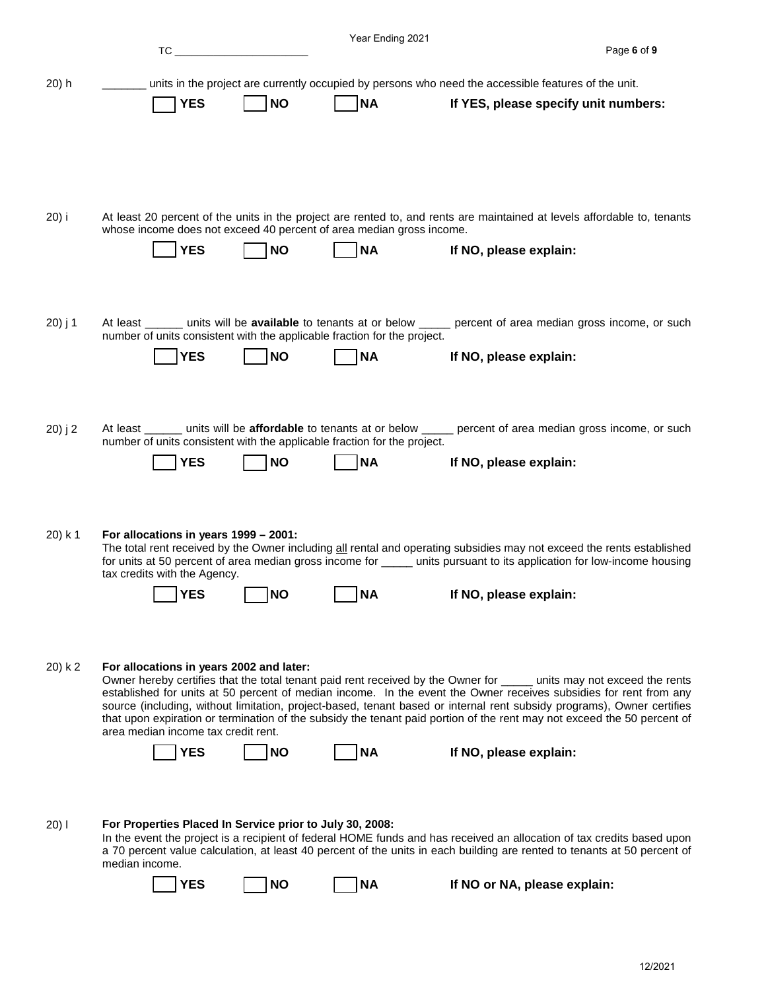|          | TC                                                                                                                |            | Year Ending 2021 | Page 6 of 9                                                                                                                                                                                                                                                                                                                                                                                                                                                                                                               |
|----------|-------------------------------------------------------------------------------------------------------------------|------------|------------------|---------------------------------------------------------------------------------------------------------------------------------------------------------------------------------------------------------------------------------------------------------------------------------------------------------------------------------------------------------------------------------------------------------------------------------------------------------------------------------------------------------------------------|
|          |                                                                                                                   |            |                  |                                                                                                                                                                                                                                                                                                                                                                                                                                                                                                                           |
| $20$ ) h |                                                                                                                   |            |                  | units in the project are currently occupied by persons who need the accessible features of the unit.                                                                                                                                                                                                                                                                                                                                                                                                                      |
|          | <b>YES</b>                                                                                                        | <b>NO</b>  | <b>NA</b>        | If YES, please specify unit numbers:                                                                                                                                                                                                                                                                                                                                                                                                                                                                                      |
| 20) i    | whose income does not exceed 40 percent of area median gross income.<br><b>YES</b>                                | <b>NO</b>  | <b>NA</b>        | At least 20 percent of the units in the project are rented to, and rents are maintained at levels affordable to, tenants<br>If NO, please explain:                                                                                                                                                                                                                                                                                                                                                                        |
| 20) j 1  | number of units consistent with the applicable fraction for the project.<br><b>YES</b>                            | <b>NO</b>  | <b>NA</b>        | At least _______ units will be available to tenants at or below _____ percent of area median gross income, or such<br>If NO, please explain:                                                                                                                                                                                                                                                                                                                                                                              |
| 20) j 2  | number of units consistent with the applicable fraction for the project.<br><b>YES</b>                            | <b>NO</b>  | <b>NA</b>        | At least _______ units will be affordable to tenants at or below _____ percent of area median gross income, or such<br>If NO, please explain:                                                                                                                                                                                                                                                                                                                                                                             |
| 20) k 1  | For allocations in years 1999 - 2001:<br>tax credits with the Agency.<br>$\overline{\ }$ YES $\qquad \qquad \Box$ | <b>TNO</b> | <b>NA</b>        | The total rent received by the Owner including all rental and operating subsidies may not exceed the rents established<br>for units at 50 percent of area median gross income for _____ units pursuant to its application for low-income housing<br>If NO, please explain:                                                                                                                                                                                                                                                |
| 20) k 2  | For allocations in years 2002 and later:<br>area median income tax credit rent.<br><b>YES</b>                     | <b>NO</b>  | <b>NA</b>        | Owner hereby certifies that the total tenant paid rent received by the Owner for _____ units may not exceed the rents<br>established for units at 50 percent of median income. In the event the Owner receives subsidies for rent from any<br>source (including, without limitation, project-based, tenant based or internal rent subsidy programs), Owner certifies<br>that upon expiration or termination of the subsidy the tenant paid portion of the rent may not exceed the 50 percent of<br>If NO, please explain: |
| 20)1     | For Properties Placed In Service prior to July 30, 2008:<br>median income.<br>YES                                 | <b>NO</b>  | <b>NA</b>        | In the event the project is a recipient of federal HOME funds and has received an allocation of tax credits based upon<br>a 70 percent value calculation, at least 40 percent of the units in each building are rented to tenants at 50 percent of<br>If NO or NA, please explain:                                                                                                                                                                                                                                        |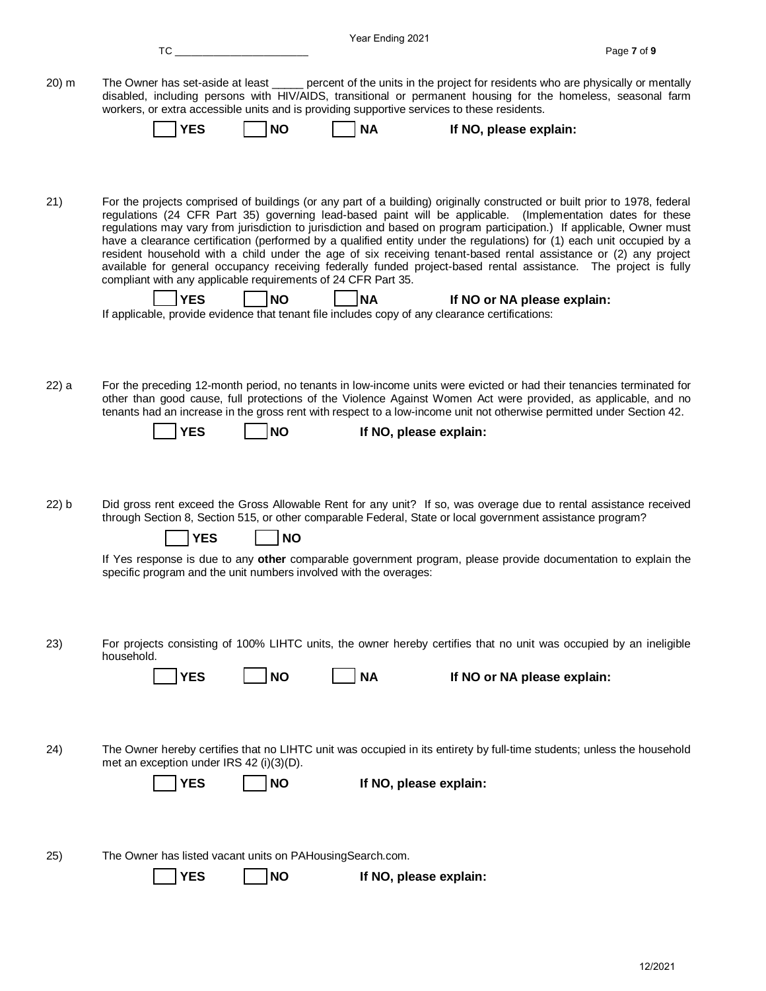|          |                                                                                                                                                                                                                                                                                                                                                                                                                                                                                                                                                                                                                                                                                                                                                                                                       | Year Ending 2021       |                             |
|----------|-------------------------------------------------------------------------------------------------------------------------------------------------------------------------------------------------------------------------------------------------------------------------------------------------------------------------------------------------------------------------------------------------------------------------------------------------------------------------------------------------------------------------------------------------------------------------------------------------------------------------------------------------------------------------------------------------------------------------------------------------------------------------------------------------------|------------------------|-----------------------------|
|          | TC                                                                                                                                                                                                                                                                                                                                                                                                                                                                                                                                                                                                                                                                                                                                                                                                    |                        | Page 7 of 9                 |
| 20) m    | The Owner has set-aside at least _____ percent of the units in the project for residents who are physically or mentally<br>disabled, including persons with HIV/AIDS, transitional or permanent housing for the homeless, seasonal farm<br>workers, or extra accessible units and is providing supportive services to these residents.<br><b>NO</b><br><b>YES</b>                                                                                                                                                                                                                                                                                                                                                                                                                                     | <b>NA</b>              |                             |
|          |                                                                                                                                                                                                                                                                                                                                                                                                                                                                                                                                                                                                                                                                                                                                                                                                       |                        | If NO, please explain:      |
|          |                                                                                                                                                                                                                                                                                                                                                                                                                                                                                                                                                                                                                                                                                                                                                                                                       |                        |                             |
| 21)      | For the projects comprised of buildings (or any part of a building) originally constructed or built prior to 1978, federal<br>regulations (24 CFR Part 35) governing lead-based paint will be applicable. (Implementation dates for these<br>regulations may vary from jurisdiction to jurisdiction and based on program participation.) If applicable, Owner must<br>have a clearance certification (performed by a qualified entity under the regulations) for (1) each unit occupied by a<br>resident household with a child under the age of six receiving tenant-based rental assistance or (2) any project<br>available for general occupancy receiving federally funded project-based rental assistance. The project is fully<br>compliant with any applicable requirements of 24 CFR Part 35. |                        |                             |
|          | <b>NO</b><br><b>YES</b><br>If applicable, provide evidence that tenant file includes copy of any clearance certifications:                                                                                                                                                                                                                                                                                                                                                                                                                                                                                                                                                                                                                                                                            | <b>NA</b>              | If NO or NA please explain: |
|          |                                                                                                                                                                                                                                                                                                                                                                                                                                                                                                                                                                                                                                                                                                                                                                                                       |                        |                             |
| 22) a    | For the preceding 12-month period, no tenants in low-income units were evicted or had their tenancies terminated for<br>other than good cause, full protections of the Violence Against Women Act were provided, as applicable, and no                                                                                                                                                                                                                                                                                                                                                                                                                                                                                                                                                                |                        |                             |
|          | tenants had an increase in the gross rent with respect to a low-income unit not otherwise permitted under Section 42.                                                                                                                                                                                                                                                                                                                                                                                                                                                                                                                                                                                                                                                                                 |                        |                             |
|          | <b>NO</b><br><b>YES</b>                                                                                                                                                                                                                                                                                                                                                                                                                                                                                                                                                                                                                                                                                                                                                                               | If NO, please explain: |                             |
|          |                                                                                                                                                                                                                                                                                                                                                                                                                                                                                                                                                                                                                                                                                                                                                                                                       |                        |                             |
| $22$ ) b | Did gross rent exceed the Gross Allowable Rent for any unit? If so, was overage due to rental assistance received<br>through Section 8, Section 515, or other comparable Federal, State or local government assistance program?<br><b>YES</b><br><b>NO</b>                                                                                                                                                                                                                                                                                                                                                                                                                                                                                                                                            |                        |                             |
|          | If Yes response is due to any other comparable government program, please provide documentation to explain the                                                                                                                                                                                                                                                                                                                                                                                                                                                                                                                                                                                                                                                                                        |                        |                             |
|          | specific program and the unit numbers involved with the overages:                                                                                                                                                                                                                                                                                                                                                                                                                                                                                                                                                                                                                                                                                                                                     |                        |                             |
|          |                                                                                                                                                                                                                                                                                                                                                                                                                                                                                                                                                                                                                                                                                                                                                                                                       |                        |                             |
|          |                                                                                                                                                                                                                                                                                                                                                                                                                                                                                                                                                                                                                                                                                                                                                                                                       |                        |                             |
| 23)      | For projects consisting of 100% LIHTC units, the owner hereby certifies that no unit was occupied by an ineligible<br>household.                                                                                                                                                                                                                                                                                                                                                                                                                                                                                                                                                                                                                                                                      |                        |                             |
|          | <b>YES</b><br><b>NO</b>                                                                                                                                                                                                                                                                                                                                                                                                                                                                                                                                                                                                                                                                                                                                                                               | <b>NA</b>              | If NO or NA please explain: |
|          |                                                                                                                                                                                                                                                                                                                                                                                                                                                                                                                                                                                                                                                                                                                                                                                                       |                        |                             |
|          |                                                                                                                                                                                                                                                                                                                                                                                                                                                                                                                                                                                                                                                                                                                                                                                                       |                        |                             |
| 24)      | The Owner hereby certifies that no LIHTC unit was occupied in its entirety by full-time students; unless the household<br>met an exception under IRS 42 (i)(3)(D).                                                                                                                                                                                                                                                                                                                                                                                                                                                                                                                                                                                                                                    |                        |                             |
|          | <b>YES</b><br><b>NO</b>                                                                                                                                                                                                                                                                                                                                                                                                                                                                                                                                                                                                                                                                                                                                                                               | If NO, please explain: |                             |
|          |                                                                                                                                                                                                                                                                                                                                                                                                                                                                                                                                                                                                                                                                                                                                                                                                       |                        |                             |
|          |                                                                                                                                                                                                                                                                                                                                                                                                                                                                                                                                                                                                                                                                                                                                                                                                       |                        |                             |
| 25)      | The Owner has listed vacant units on PAHousingSearch.com.                                                                                                                                                                                                                                                                                                                                                                                                                                                                                                                                                                                                                                                                                                                                             |                        |                             |
|          | <b>YES</b><br><b>NO</b>                                                                                                                                                                                                                                                                                                                                                                                                                                                                                                                                                                                                                                                                                                                                                                               | If NO, please explain: |                             |
|          |                                                                                                                                                                                                                                                                                                                                                                                                                                                                                                                                                                                                                                                                                                                                                                                                       |                        |                             |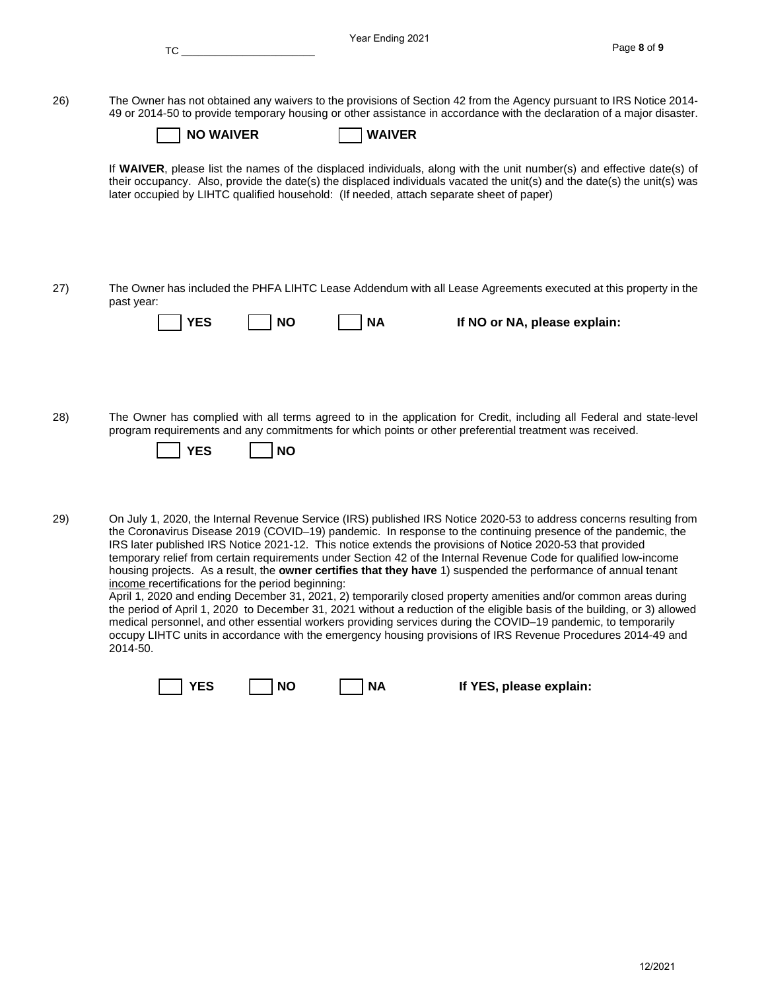|     | TC and the state of the state of the state of the state of the state of the state of the state of the state of the state of the state of the state of the state of the state of the state of the state of the state of the sta | Year Ending 2021                                                                                                                                                                                                                                                                                                                                                                                                                                                                                                                                                                                                                                                                                                                                                                                                                                                                                                                                                                                                                                                             | Page 8 of 9 |
|-----|--------------------------------------------------------------------------------------------------------------------------------------------------------------------------------------------------------------------------------|------------------------------------------------------------------------------------------------------------------------------------------------------------------------------------------------------------------------------------------------------------------------------------------------------------------------------------------------------------------------------------------------------------------------------------------------------------------------------------------------------------------------------------------------------------------------------------------------------------------------------------------------------------------------------------------------------------------------------------------------------------------------------------------------------------------------------------------------------------------------------------------------------------------------------------------------------------------------------------------------------------------------------------------------------------------------------|-------------|
| 26) | <b>NO WAIVER</b>                                                                                                                                                                                                               | The Owner has not obtained any waivers to the provisions of Section 42 from the Agency pursuant to IRS Notice 2014-<br>49 or 2014-50 to provide temporary housing or other assistance in accordance with the declaration of a major disaster.<br><b>WAIVER</b>                                                                                                                                                                                                                                                                                                                                                                                                                                                                                                                                                                                                                                                                                                                                                                                                               |             |
|     |                                                                                                                                                                                                                                | If WAIVER, please list the names of the displaced individuals, along with the unit number(s) and effective date(s) of<br>their occupancy. Also, provide the date(s) the displaced individuals vacated the unit(s) and the date(s) the unit(s) was<br>later occupied by LIHTC qualified household: (If needed, attach separate sheet of paper)                                                                                                                                                                                                                                                                                                                                                                                                                                                                                                                                                                                                                                                                                                                                |             |
| 27) | past year:<br><b>YES</b><br><b>NO</b>                                                                                                                                                                                          | The Owner has included the PHFA LIHTC Lease Addendum with all Lease Agreements executed at this property in the<br><b>NA</b><br>If NO or NA, please explain:                                                                                                                                                                                                                                                                                                                                                                                                                                                                                                                                                                                                                                                                                                                                                                                                                                                                                                                 |             |
| 28) | <b>YES</b><br><b>NO</b>                                                                                                                                                                                                        | The Owner has complied with all terms agreed to in the application for Credit, including all Federal and state-level<br>program requirements and any commitments for which points or other preferential treatment was received.                                                                                                                                                                                                                                                                                                                                                                                                                                                                                                                                                                                                                                                                                                                                                                                                                                              |             |
| 29) | income recertifications for the period beginning:<br>2014-50.                                                                                                                                                                  | On July 1, 2020, the Internal Revenue Service (IRS) published IRS Notice 2020-53 to address concerns resulting from<br>the Coronavirus Disease 2019 (COVID-19) pandemic. In response to the continuing presence of the pandemic, the<br>IRS later published IRS Notice 2021-12. This notice extends the provisions of Notice 2020-53 that provided<br>temporary relief from certain requirements under Section 42 of the Internal Revenue Code for qualified low-income<br>housing projects. As a result, the owner certifies that they have 1) suspended the performance of annual tenant<br>April 1, 2020 and ending December 31, 2021, 2) temporarily closed property amenities and/or common areas during<br>the period of April 1, 2020 to December 31, 2021 without a reduction of the eligible basis of the building, or 3) allowed<br>medical personnel, and other essential workers providing services during the COVID-19 pandemic, to temporarily<br>occupy LIHTC units in accordance with the emergency housing provisions of IRS Revenue Procedures 2014-49 and |             |

**T** YES **IF YES**, please explain: Г